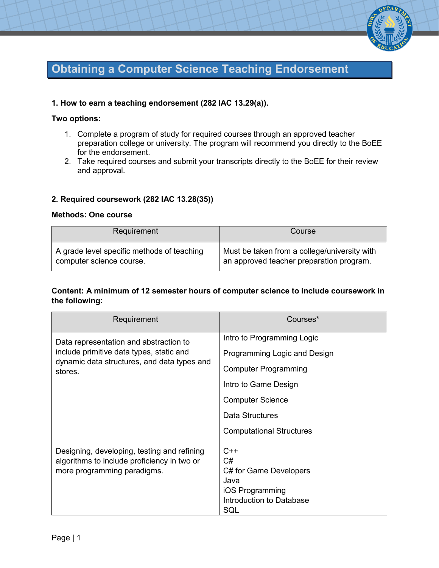

# **Obtaining a Computer Science Teaching Endorsement**

## **1. How to earn a teaching endorsement (282 IAC 13.29(a)).**

#### **Two options:**

- 1. Complete a program of study for required courses through an approved teacher preparation college or university. The program will recommend you directly to the BoEE for the endorsement.
- 2. Take required courses and submit your transcripts directly to the BoEE for their review and approval.

## **2. Required coursework (282 IAC 13.28(35))**

#### **Methods: One course**

| Requirement                                | Course                                       |
|--------------------------------------------|----------------------------------------------|
| A grade level specific methods of teaching | Must be taken from a college/university with |
| computer science course.                   | an approved teacher preparation program.     |

## **Content: A minimum of 12 semester hours of computer science to include coursework in the following:**

| Requirement                                                                                                                                  | Courses*                                                                                                                                                                                           |
|----------------------------------------------------------------------------------------------------------------------------------------------|----------------------------------------------------------------------------------------------------------------------------------------------------------------------------------------------------|
| Data representation and abstraction to<br>include primitive data types, static and<br>dynamic data structures, and data types and<br>stores. | Intro to Programming Logic<br>Programming Logic and Design<br><b>Computer Programming</b><br>Intro to Game Design<br><b>Computer Science</b><br>Data Structures<br><b>Computational Structures</b> |
| Designing, developing, testing and refining<br>algorithms to include proficiency in two or<br>more programming paradigms.                    | $C++$<br>C#<br>C# for Game Developers<br>Java<br>iOS Programming<br>Introduction to Database<br>SQL                                                                                                |